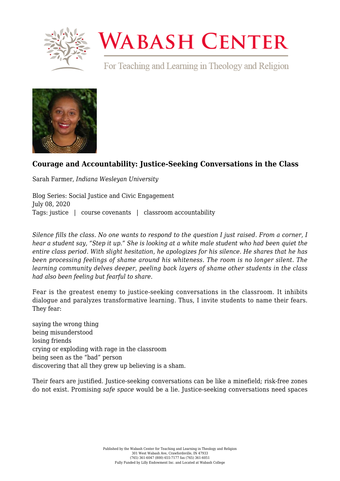

## **WABASH CENTER**

For Teaching and Learning in Theology and Religion



## **[Courage and Accountability: Justice-Seeking Conversations in the Class](https://www.wabashcenter.wabash.edu/2020/07/courage-and-accountability-justice-seeking-conversations-in-the-class/)**

Sarah Farmer, *Indiana Wesleyan University*

Blog Series: Social Justice and Civic Engagement July 08, 2020 Tags: justice | course covenants | classroom accountability

*Silence fills the class. No one wants to respond to the question I just raised. From a corner, I hear a student say, "Step it up." She is looking at a white male student who had been quiet the entire class period. With slight hesitation, he apologizes for his silence. He shares that he has been processing feelings of shame around his whiteness. The room is no longer silent. The learning community delves deeper, peeling back layers of shame other students in the class had also been feeling but fearful to share.*

Fear is the greatest enemy to justice-seeking conversations in the classroom. It inhibits dialogue and paralyzes transformative learning. Thus, I invite students to name their fears. They fear:

saying the wrong thing being misunderstood losing friends crying or exploding with rage in the classroom being seen as the "bad" person discovering that all they grew up believing is a sham.

Their fears are justified. Justice-seeking conversations can be like a minefield; risk-free zones do not exist. Promising *safe space* would be a lie. Justice-seeking conversations need spaces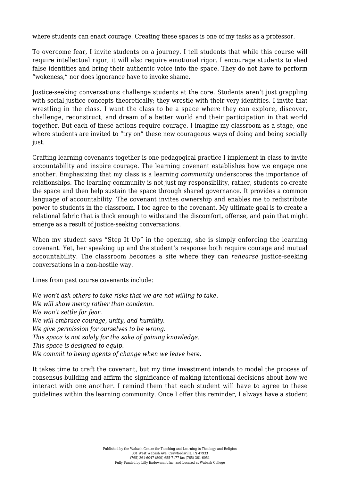where students can enact courage. Creating these spaces is one of my tasks as a professor.

To overcome fear, I invite students on a journey. I tell students that while this course will require intellectual rigor, it will also require emotional rigor. I encourage students to shed false identities and bring their authentic voice into the space. They do not have to perform "wokeness," nor does ignorance have to invoke shame.

Justice-seeking conversations challenge students at the core. Students aren't just grappling with social justice concepts theoretically; they wrestle with their very identities. I invite that wrestling in the class. I want the class to be a space where they can explore, discover, challenge, reconstruct, and dream of a better world and their participation in that world together. But each of these actions require courage. I imagine my classroom as a stage, one where students are invited to "try on" these new courageous ways of doing and being socially just.

Crafting learning covenants together is one pedagogical practice I implement in class to invite accountability and inspire courage. The learning covenant establishes how we engage one another. Emphasizing that my class is a learning *community* underscores the importance of relationships. The learning community is not just my responsibility, rather, students co-create the space and then help sustain the space through shared governance. It provides a common language of accountability. The covenant invites ownership and enables me to redistribute power to students in the classroom. I too agree to the covenant. My ultimate goal is to create a relational fabric that is thick enough to withstand the discomfort, offense, and pain that might emerge as a result of justice-seeking conversations.

When my student says "Step It Up" in the opening, she is simply enforcing the learning covenant. Yet, her speaking up and the student's response both require courage and mutual accountability. The classroom becomes a site where they can *rehearse* justice-seeking conversations in a non-hostile way.

Lines from past course covenants include:

*We won't ask others to take risks that we are not willing to take. We will show mercy rather than condemn. We won't settle for fear. We will embrace courage, unity, and humility. We give permission for ourselves to be wrong. This space is not solely for the sake of gaining knowledge. This space is designed to equip. We commit to being agents of change when we leave here.*

It takes time to craft the covenant, but my time investment intends to model the process of consensus-building and affirm the significance of making intentional decisions about how we interact with one another. I remind them that each student will have to agree to these guidelines within the learning community. Once I offer this reminder, I always have a student